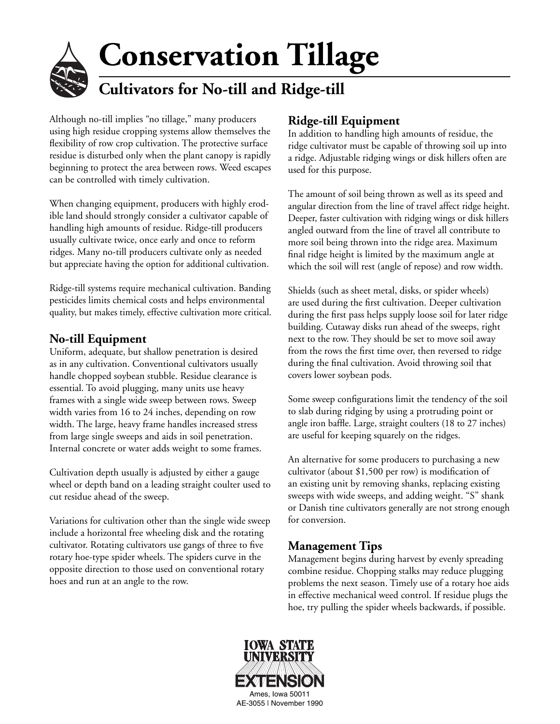# **Conservation Tillage Cultivators for No-till and Ridge-till**

Although no-till implies "no tillage," many producers using high residue cropping systems allow themselves the flexibility of row crop cultivation. The protective surface residue is disturbed only when the plant canopy is rapidly beginning to protect the area between rows. Weed escapes can be controlled with timely cultivation.

When changing equipment, producers with highly erodible land should strongly consider a cultivator capable of handling high amounts of residue. Ridge-till producers usually cultivate twice, once early and once to reform ridges. Many no-till producers cultivate only as needed but appreciate having the option for additional cultivation.

Ridge-till systems require mechanical cultivation. Banding pesticides limits chemical costs and helps environmental quality, but makes timely, effective cultivation more critical.

### **No-till Equipment**

Uniform, adequate, but shallow penetration is desired as in any cultivation. Conventional cultivators usually handle chopped soybean stubble. Residue clearance is essential. To avoid plugging, many units use heavy frames with a single wide sweep between rows. Sweep width varies from 16 to 24 inches, depending on row width. The large, heavy frame handles increased stress from large single sweeps and aids in soil penetration. Internal concrete or water adds weight to some frames.

Cultivation depth usually is adjusted by either a gauge wheel or depth band on a leading straight coulter used to cut residue ahead of the sweep.

Variations for cultivation other than the single wide sweep include a horizontal free wheeling disk and the rotating cultivator. Rotating cultivators use gangs of three to five rotary hoe-type spider wheels. The spiders curve in the opposite direction to those used on conventional rotary hoes and run at an angle to the row.

## **Ridge-till Equipment**

In addition to handling high amounts of residue, the ridge cultivator must be capable of throwing soil up into a ridge. Adjustable ridging wings or disk hillers often are used for this purpose.

The amount of soil being thrown as well as its speed and angular direction from the line of travel affect ridge height. Deeper, faster cultivation with ridging wings or disk hillers angled outward from the line of travel all contribute to more soil being thrown into the ridge area. Maximum final ridge height is limited by the maximum angle at which the soil will rest (angle of repose) and row width.

Shields (such as sheet metal, disks, or spider wheels) are used during the first cultivation. Deeper cultivation during the first pass helps supply loose soil for later ridge building. Cutaway disks run ahead of the sweeps, right next to the row. They should be set to move soil away from the rows the first time over, then reversed to ridge during the final cultivation. Avoid throwing soil that covers lower soybean pods.

Some sweep configurations limit the tendency of the soil to slab during ridging by using a protruding point or angle iron baffle. Large, straight coulters (18 to 27 inches) are useful for keeping squarely on the ridges.

An alternative for some producers to purchasing a new cultivator (about  $$1,500$  per row) is modification of an existing unit by removing shanks, replacing existing sweeps with wide sweeps, and adding weight. "S" shank or Danish tine cultivators generally are not strong enough for conversion.

#### **Management Tips**

Management begins during harvest by evenly spreading combine residue. Chopping stalks may reduce plugging problems the next season. Timely use of a rotary hoe aids in effective mechanical weed control. If residue plugs the hoe, try pulling the spider wheels backwards, if possible.